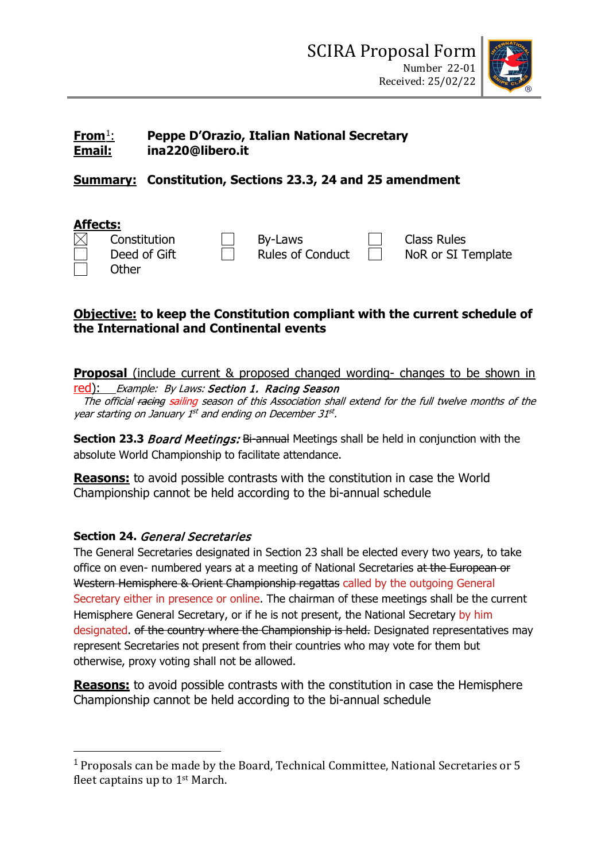

### **From**[1](#page-0-0): **Peppe D'Orazio, Italian National Secretary Email: ina220@libero.it**

# **Summary: Constitution, Sections 23.3, 24 and 25 amendment**

### **Affects:**   $\Box$  By-Laws  $\Box$  Class Rules<br>Deed of Gift  $\Box$  Rules of Conduct  $\Box$  NoR or SI T Deed of Gift  $\Box$  Rules of Conduct  $\Box$  NoR or SI Template

**Other** 

## **Objective: to keep the Constitution compliant with the current schedule of the International and Continental events**

**Proposal** (include current & proposed changed wording- changes to be shown in red): Example: By Laws: Section 1. Racing Season

The official <del>racing</del> sailing season of this Association shall extend for the full twelve months of the year starting on January 1st and ending on December 31st.

**Section 23.3 Board Meetings: Bi-annual Meetings shall be held in conjunction with the** absolute World Championship to facilitate attendance.

**Reasons:** to avoid possible contrasts with the constitution in case the World Championship cannot be held according to the bi-annual schedule

### **Section 24.** General Secretaries

The General Secretaries designated in Section 23 shall be elected every two years, to take office on even- numbered years at a meeting of National Secretaries at the European or Western Hemisphere & Orient Championship regattas called by the outgoing General Secretary either in presence or online. The chairman of these meetings shall be the current Hemisphere General Secretary, or if he is not present, the National Secretary by him designated. of the country where the Championship is held. Designated representatives may represent Secretaries not present from their countries who may vote for them but otherwise, proxy voting shall not be allowed.

**Reasons:** to avoid possible contrasts with the constitution in case the Hemisphere Championship cannot be held according to the bi-annual schedule

<span id="page-0-0"></span><sup>1</sup> Proposals can be made by the Board, Technical Committee, National Secretaries or 5 fleet captains up to 1st March.